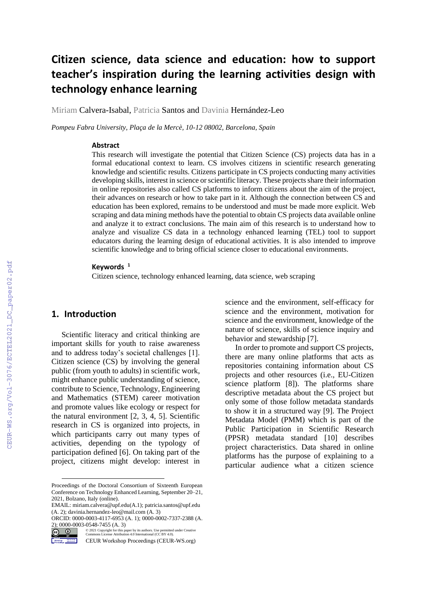# **Citizen science, data science and education: how to support teacher's inspiration during the learning activities design with technology enhance learning**

Miriam Calvera-Isabal, Patricia Santos and Davinia Hernández-Leo

*Pompeu Fabra University, Plaça de la Mercè, 10-12 08002, Barcelona, Spain*

#### **Abstract**

This research will investigate the potential that Citizen Science (CS) projects data has in a formal educational context to learn. CS involves citizens in scientific research generating knowledge and scientific results. Citizens participate in CS projects conducting many activities developing skills, interest in science or scientific literacy. These projects share their information in online repositories also called CS platforms to inform citizens about the aim of the project, their advances on research or how to take part in it. Although the connection between CS and education has been explored, remains to be understood and must be made more explicit. Web scraping and data mining methods have the potential to obtain CS projects data available online and analyze it to extract conclusions. The main aim of this research is to understand how to analyze and visualize CS data in a technology enhanced learning (TEL) tool to support educators during the learning design of educational activities. It is also intended to improve scientific knowledge and to bring official science closer to educational environments.

#### **Keywords <sup>1</sup>**

Citizen science, technology enhanced learning, data science, web scraping

#### **1. Introduction**

Scientific literacy and critical thinking are important skills for youth to raise awareness and to address today's societal challenges [1]. Citizen science (CS) by involving the general public (from youth to adults) in scientific work, might enhance public understanding of science, contribute to Science, Technology, Engineering and Mathematics (STEM) career motivation and promote values like ecology or respect for the natural environment [2, 3, 4, 5]. Scientific research in CS is organized into projects, in which participants carry out many types of activities, depending on the typology of participation defined [6]. On taking part of the project, citizens might develop: interest in science and the environment, self-efficacy for science and the environment, motivation for science and the environment, knowledge of the nature of science, skills of science inquiry and behavior and stewardship [7].

In order to promote and support CS projects, there are many online platforms that acts as repositories containing information about CS projects and other resources (i.e., EU-Citizen science platform [8]). The platforms share descriptive metadata about the CS project but only some of those follow metadata standards to show it in a structured way [9]. The Project Metadata Model (PMM) which is part of the Public Participation in Scientific Research (PPSR) metadata standard [10] describes project characteristics. Data shared in online platforms has the purpose of explaining to a particular audience what a citizen science

Proceedings of the Doctoral Consortium of Sixteenth European Conference on Technology Enhanced Learning, September 20–21, 2021, Bolzano, Italy (online).

EMAIL[: miriam.calvera@upf.edu\(](mailto:miriam.calvera@upf.edu)A.1); patricia.santos@upf.edu (A. 2); davinia.hernandez-leo@mail.com (A. 3)

ORCID: 0000-0003-4117-6953 (A. 1); 0000-0002-7337-2388 (A.

<sup>2); 0000-0003-0548-7455</sup>  $(A. 3)$ <br>  $(C)$   $(1)$   $(2021$  Copyright for this paramons License Attribution ©️ 2021 Copyright for this paper by its authors. Use permitted under Creative Commons License Attribution 4.0 International (CC BY 4.0).

**Mortage Ave 2011** CEUR Workshop Proceedings (CEUR-WS.org)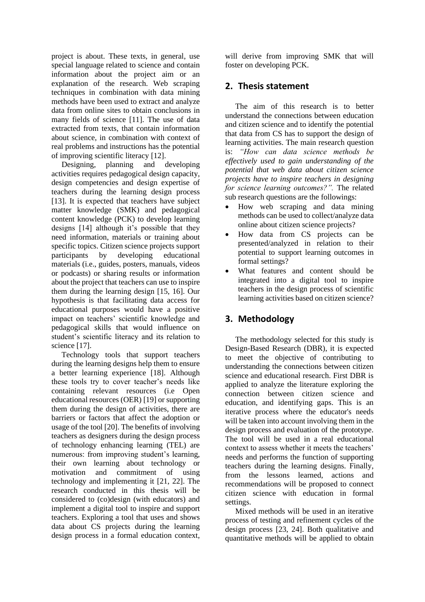project is about. These texts, in general, use special language related to science and contain information about the project aim or an explanation of the research. Web scraping techniques in combination with data mining methods have been used to extract and analyze data from online sites to obtain conclusions in many fields of science [11]. The use of data extracted from texts, that contain information about science, in combination with context of real problems and instructions has the potential of improving scientific literacy [12].

Designing, planning and developing activities requires pedagogical design capacity, design competencies and design expertise of teachers during the learning design process [13]. It is expected that teachers have subject matter knowledge (SMK) and pedagogical content knowledge (PCK) to develop learning designs [14] although it's possible that they need information, materials or training about specific topics. Citizen science projects support participants by developing educational materials (i.e., guides, posters, manuals, videos or podcasts) or sharing results or information about the project that teachers can use to inspire them during the learning design [15, 16]. Our hypothesis is that facilitating data access for educational purposes would have a positive impact on teachers' scientific knowledge and pedagogical skills that would influence on student's scientific literacy and its relation to science [17].

Technology tools that support teachers during the learning designs help them to ensure a better learning experience [18]. Although these tools try to cover teacher's needs like containing relevant resources (i.e Open educational resources (OER) [19] or supporting them during the design of activities, there are barriers or factors that affect the adoption or usage of the tool [20]. The benefits of involving teachers as designers during the design process of technology enhancing learning (TEL) are numerous: from improving student's learning, their own learning about technology or motivation and commitment of using technology and implementing it [21, 22]. The research conducted in this thesis will be considered to (co)design (with educators) and implement a digital tool to inspire and support teachers. Exploring a tool that uses and shows data about CS projects during the learning design process in a formal education context,

will derive from improving SMK that will foster on developing PCK.

## **2. Thesis statement**

The aim of this research is to better understand the connections between education and citizen science and to identify the potential that data from CS has to support the design of learning activities. The main research question is: *"How can data science methods be effectively used to gain understanding of the potential that web data about citizen science projects have to inspire teachers in designing for science learning outcomes?".* The related sub research questions are the followings:

- How web scraping and data mining methods can be used to collect/analyze data online about citizen science projects?
- How data from CS projects can be presented/analyzed in relation to their potential to support learning outcomes in formal settings?
- What features and content should be integrated into a digital tool to inspire teachers in the design process of scientific learning activities based on citizen science?

# **3. Methodology**

The methodology selected for this study is Design-Based Research (DBR), it is expected to meet the objective of contributing to understanding the connections between citizen science and educational research. First DBR is applied to analyze the literature exploring the connection between citizen science and education, and identifying gaps. This is an iterative process where the educator's needs will be taken into account involving them in the design process and evaluation of the prototype. The tool will be used in a real educational context to assess whether it meets the teachers' needs and performs the function of supporting teachers during the learning designs. Finally, from the lessons learned, actions and recommendations will be proposed to connect citizen science with education in formal settings.

Mixed methods will be used in an iterative process of testing and refinement cycles of the design process [23, 24]. Both qualitative and quantitative methods will be applied to obtain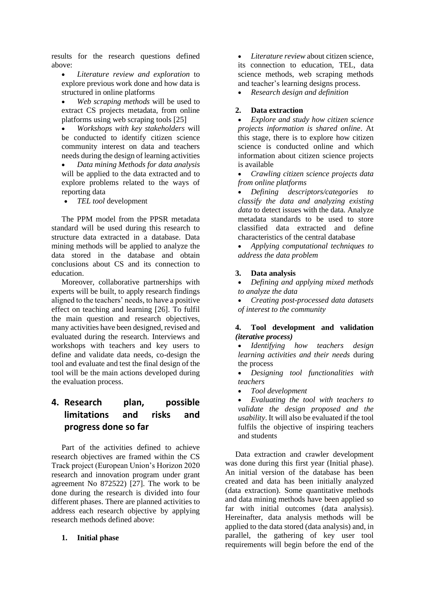results for the research questions defined above:

• *Literature review and exploration* to explore previous work done and how data is structured in online platforms

• *Web scraping methods* will be used to extract CS projects metadata, from online platforms using web scraping tools [25]

• *Workshops with key stakeholders* will be conducted to identify citizen science community interest on data and teachers needs during the design of learning activities

• *Data mining Methods for data analysis* will be applied to the data extracted and to explore problems related to the ways of reporting data

• *TEL tool* development

The PPM model from the PPSR metadata standard will be used during this research to structure data extracted in a database. Data mining methods will be applied to analyze the data stored in the database and obtain conclusions about CS and its connection to education.

Moreover, collaborative partnerships with experts will be built, to apply research findings aligned to the teachers' needs, to have a positive effect on teaching and learning [26]. To fulfil the main question and research objectives, many activities have been designed, revised and evaluated during the research. Interviews and workshops with teachers and key users to define and validate data needs, co-design the tool and evaluate and test the final design of the tool will be the main actions developed during the evaluation process.

# **4. Research plan, possible limitations and risks and progress done so far**

Part of the activities defined to achieve research objectives are framed within the CS Track project (European Union's Horizon 2020 research and innovation program under grant agreement No 872522) [27]. The work to be done during the research is divided into four different phases. There are planned activities to address each research objective by applying research methods defined above:

#### **1. Initial phase**

• *Literature review* about citizen science, its connection to education, TEL, data science methods, web scraping methods and teacher's learning designs process.

• *Research design and definition*

#### **2. Data extraction**

• *Explore and study how citizen science projects information is shared online*. At this stage, there is to explore how citizen science is conducted online and which information about citizen science projects is available

• *Crawling citizen science projects data from online platforms* 

• *Defining descriptors/categories to classify the data and analyzing existing data* to detect issues with the data. Analyze metadata standards to be used to store classified data extracted and define characteristics of the central database

• *Applying computational techniques to address the data problem*

#### **3. Data analysis**

• *Defining and applying mixed methods to analyze the data*

• *Creating post-processed data datasets of interest to the community*

### **4. Tool development and validation** *(iterative process)*

• *Identifying how teachers design learning activities and their needs* during the process

- *Designing tool functionalities with teachers*
- *Tool development*

• *Evaluating the tool with teachers to validate the design proposed and the usability*. It will also be evaluated if the tool fulfils the objective of inspiring teachers and students

Data extraction and crawler development was done during this first year (Initial phase). An initial version of the database has been created and data has been initially analyzed (data extraction). Some quantitative methods and data mining methods have been applied so far with initial outcomes (data analysis). Hereinafter, data analysis methods will be applied to the data stored (data analysis) and, in parallel, the gathering of key user tool requirements will begin before the end of the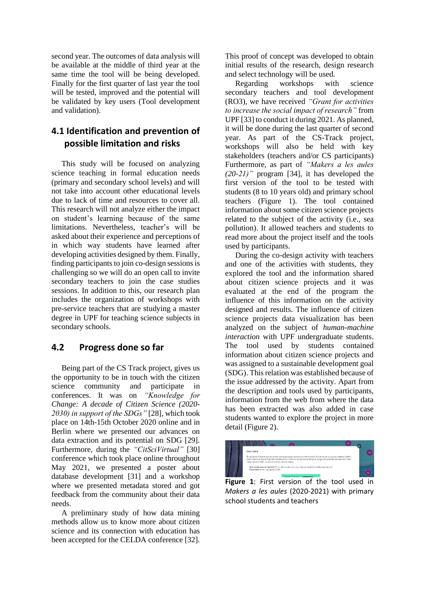second year. The outcomes of data analysis will be available at the middle of third year at the same time the tool will be being developed. Finally for the first quarter of last year the tool will be tested, improved and the potential will be validated by key users (Tool development and validation).

# **4.1 Identification and prevention of possible limitation and risks**

This study will be focused on analyzing science teaching in formal education needs (primary and secondary school levels) and will not take into account other educational levels due to lack of time and resources to cover all. This research will not analyze either the impact on student's learning because of the same limitations. Nevertheless, teacher's will be asked about their experience and perceptions of in which way students have learned after developing activities designed by them. Finally, finding participants to join co-design sessions is challenging so we will do an open call to invite secondary teachers to join the case studies sessions. In addition to this, our research plan includes the organization of workshops with pre-service teachers that are studying a master degree in UPF for teaching science subjects in secondary schools.

### **4.2 Progress done so far**

Being part of the CS Track project, gives us the opportunity to be in touch with the citizen science community and participate in conferences. It was on *"Knowledge for Change: A decade of Citizen Science (2020- 2030) in support of the SDGs"* [28], which took place on 14th-15th October 2020 online and in Berlin where we presented our advances on data extraction and its potential on SDG [29]. Furthermore, during the *"CitSciVirtual"* [30] conference which took place online throughout May 2021, we presented a poster about database development [31] and a workshop where we presented metadata stored and got feedback from the community about their data needs.

A preliminary study of how data mining methods allow us to know more about citizen science and its connection with education has been accepted for the CELDA conference [32]. This proof of concept was developed to obtain initial results of the research, design research and select technology will be used.

Regarding workshops with science secondary teachers and tool development (RO3), we have received *"Grant for activities to increase the social impact of research"* from UPF [33] to conduct it during 2021. As planned, it will be done during the last quarter of second year. As part of the CS-Track project, workshops will also be held with key stakeholders (teachers and/or CS participants) Furthermore, as part of *"Makers a les aules (20-21)"* program [34], it has developed the first version of the tool to be tested with students (8 to 10 years old) and primary school teachers (Figure 1). The tool contained information about some citizen science projects related to the subject of the activity (i.e., sea pollution). It allowed teachers and students to read more about the project itself and the tools used by participants.

During the co-design activity with teachers and one of the activities with students, they explored the tool and the information shared about citizen science projects and it was evaluated at the end of the program the influence of this information on the activity designed and results. The influence of citizen science projects data visualization has been analyzed on the subject of *human-machine interaction* with UPF undergraduate students. The tool used by students contained information about citizen science projects and was assigned to a sustainable development goal (SDG). This relation was established because of the issue addressed by the activity. Apart from the description and tools used by participants, information from the web from where the data has been extracted was also added in case students wanted to explore the project in more detail (Figure 2).



**Figure 1**: First version of the tool used in *Makers a les aules* (2020-2021) with primary school students and teachers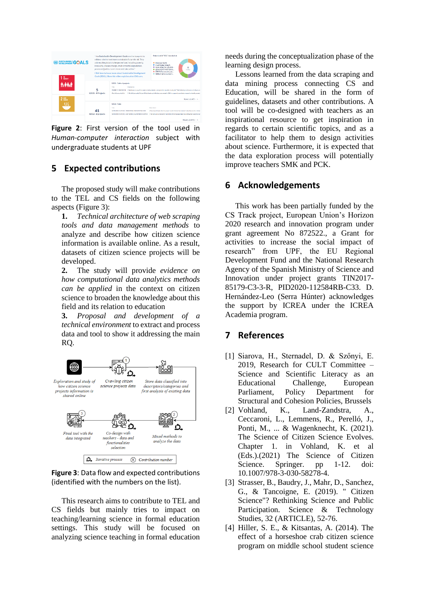

**Figure 2**: First version of the tool used in *Human-computer interaction* subject with undergraduate students at UPF

# **5 Expected contributions**

The proposed study will make contributions to the TEL and CS fields on the following aspects (Figure 3):

**1.** *Technical architecture of web scraping tools and data management methods* to analyze and describe how citizen science information is available online. As a result, datasets of citizen science projects will be developed.

**2.** The study will provide *evidence on how computational data analytics methods can be applied* in the context on citizen science to broaden the knowledge about this field and its relation to education

**3.** *Proposal and development of a technical environment* to extract and process data and tool to show it addressing the main RQ.



**Figure 3**: Data flow and expected contributions (identified with the numbers on the list).

This research aims to contribute to TEL and CS fields but mainly tries to impact on teaching/learning science in formal education settings. This study will be focused on analyzing science teaching in formal education needs during the conceptualization phase of the learning design process.

Lessons learned from the data scraping and data mining process connecting CS and Education, will be shared in the form of guidelines, datasets and other contributions. A tool will be co-designed with teachers as an inspirational resource to get inspiration in regards to certain scientific topics, and as a facilitator to help them to design activities about science. Furthermore, it is expected that the data exploration process will potentially improve teachers SMK and PCK.

### **6 Acknowledgements**

This work has been partially funded by the CS Track project, European Union's Horizon 2020 research and innovation program under grant agreement No 872522., a Grant for activities to increase the social impact of research" from UPF, the EU Regional Development Fund and the National Research Agency of the Spanish Ministry of Science and Innovation under project grants TIN2017- 85179-C3-3-R, PID2020-112584RB-C33. D. Hernández-Leo (Serra Húnter) acknowledges the support by ICREA under the ICREA Academia program.

### **7 References**

- [1] Siarova, H., Sternadel, D. & Szőnyi, E. 2019, Research for CULT Committee – Science and Scientific Literacy as an Educational Challenge, European Parliament, Policy Department for Structural and Cohesion Policies, Brussels
- [2] Vohland, K., Land-Zandstra, A., Ceccaroni, L., Lemmens, R., Perelló, J., Ponti, M., ... & Wagenknecht, K. (2021). The Science of Citizen Science Evolves. Chapter 1. in Vohland, K. et al (Eds.).(2021) The Science of Citizen Science. Springer. pp 1-12. doi: 10.1007/978-3-030-58278-4.
- [3] Strasser, B., Baudry, J., Mahr, D., Sanchez, G., & Tancoigne, E. (2019). " Citizen Science"? Rethinking Science and Public Participation. Science & Technology Studies, 32 (ARTICLE), 52-76.
- [4] Hiller, S. E., & Kitsantas, A. (2014). The effect of a horseshoe crab citizen science program on middle school student science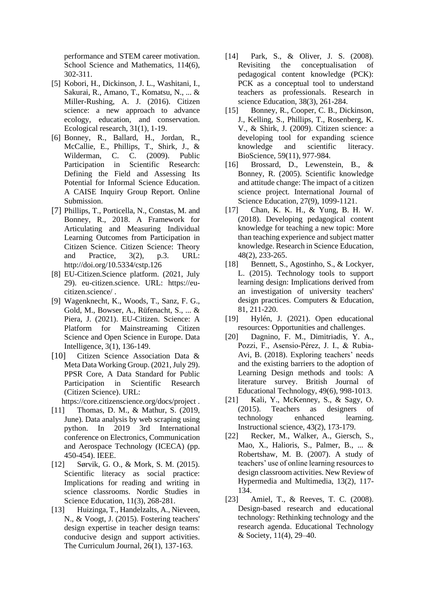performance and STEM career motivation. School Science and Mathematics, 114(6), 302-311.

- [5] Kobori, H., Dickinson, J. L., Washitani, I., Sakurai, R., Amano, T., Komatsu, N., ... & Miller-Rushing, A. J. (2016). Citizen science: a new approach to advance ecology, education, and conservation. Ecological research, 31(1), 1-19.
- [6] Bonney, R., Ballard, H., Jordan, R., McCallie, E., Phillips, T., Shirk, J., & Wilderman, C. C. (2009). Public Participation in Scientific Research: Defining the Field and Assessing Its Potential for Informal Science Education. A CAISE Inquiry Group Report. Online Submission.
- [7] Phillips, T., Porticella, N., Constas, M. and Bonney, R., 2018. A Framework for Articulating and Measuring Individual Learning Outcomes from Participation in Citizen Science. Citizen Science: Theory and Practice, 3(2), p.3. URL: <http://doi.org/10.5334/cstp.126>
- [8] EU-Citizen.Science platform. (2021, July 29). eu-citizen.science. URL: [https://eu](https://eu-citizen.science/)[citizen.science/](https://eu-citizen.science/) .
- [9] Wagenknecht, K., Woods, T., Sanz, F. G., Gold, M., Bowser, A., Rüfenacht, S., ... & Piera, J. (2021). EU-Citizen. Science: A Platform for Mainstreaming Citizen Science and Open Science in Europe. Data Intelligence, 3(1), 136-149.
- [10] Citizen Science Association Data & Meta Data Working Group. (2021, July 29). PPSR Core, A Data Standard for Public Participation in Scientific Research (Citizen Science). URL:
	- https://core.citizenscience.org/docs/project .
- [11] Thomas, D. M., & Mathur, S. (2019, June). Data analysis by web scraping using python. In 2019 3rd International conference on Electronics, Communication and Aerospace Technology (ICECA) (pp. 450-454). IEEE.
- [12] Sørvik, G. O., & Mork, S. M. (2015). Scientific literacy as social practice: Implications for reading and writing in science classrooms. Nordic Studies in Science Education, 11(3), 268-281.
- [13] Huizinga, T., Handelzalts, A., Nieveen, N., & Voogt, J. (2015). Fostering teachers' design expertise in teacher design teams: conducive design and support activities. The Curriculum Journal, 26(1), 137-163.
- [14] Park, S., & Oliver, J. S. (2008). Revisiting the conceptualisation of pedagogical content knowledge (PCK): PCK as a conceptual tool to understand teachers as professionals. Research in science Education, 38(3), 261-284.
- [15] Bonney, R., Cooper, C. B., Dickinson, J., Kelling, S., Phillips, T., Rosenberg, K. V., & Shirk, J. (2009). Citizen science: a developing tool for expanding science knowledge and scientific literacy. BioScience, 59(11), 977-984.
- [16] Brossard, D., Lewenstein, B., & Bonney, R. (2005). Scientific knowledge and attitude change: The impact of a citizen science project. International Journal of Science Education, 27(9), 1099-1121.
- [17] Chan, K. K. H., & Yung, B. H. W. (2018). Developing pedagogical content knowledge for teaching a new topic: More than teaching experience and subject matter knowledge. Research in Science Education, 48(2), 233-265.
- [18] Bennett, S., Agostinho, S., & Lockyer, L. (2015). Technology tools to support learning design: Implications derived from an investigation of university teachers' design practices. Computers & Education, 81, 211-220.
- [19] Hylén, J. (2021). Open educational resources: Opportunities and challenges.
- [20] Dagnino, F. M., Dimitriadis, Y. A., Pozzi, F., Asensio‐Pérez, J. I., & Rubia‐ Avi, B. (2018). Exploring teachers' needs and the existing barriers to the adoption of Learning Design methods and tools: A literature survey. British Journal of Educational Technology, 49(6), 998-1013.
- [21] Kali, Y., McKenney, S., & Sagy, O. (2015). Teachers as designers of technology enhanced learning. Instructional science, 43(2), 173-179.
- [22] Recker, M., Walker, A., Giersch, S., Mao, X., Halioris, S., Palmer, B., ... & Robertshaw, M. B. (2007). A study of teachers' use of online learning resources to design classroom activities. New Review of Hypermedia and Multimedia, 13(2), 117- 134.
- [23] Amiel, T., & Reeves, T. C. (2008). Design-based research and educational technology: Rethinking technology and the research agenda. Educational Technology & Society, 11(4), 29–40.